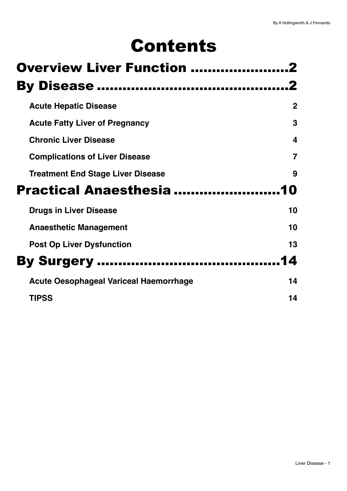# Contents

| <b>Overview Liver Function </b>               |             |
|-----------------------------------------------|-------------|
|                                               |             |
| <b>Acute Hepatic Disease</b>                  | $\mathbf 2$ |
| <b>Acute Fatty Liver of Pregnancy</b>         | 3           |
| <b>Chronic Liver Disease</b>                  | 4           |
| <b>Complications of Liver Disease</b>         | 7           |
| <b>Treatment End Stage Liver Disease</b>      | 9           |
| Practical Anaesthesia                         | 10          |
| <b>Drugs in Liver Disease</b>                 | 10          |
| <b>Anaesthetic Management</b>                 | 10          |
| <b>Post Op Liver Dysfunction</b>              | 13          |
|                                               | 14          |
| <b>By Surgery </b>                            |             |
| <b>Acute Oesophageal Variceal Haemorrhage</b> | 14          |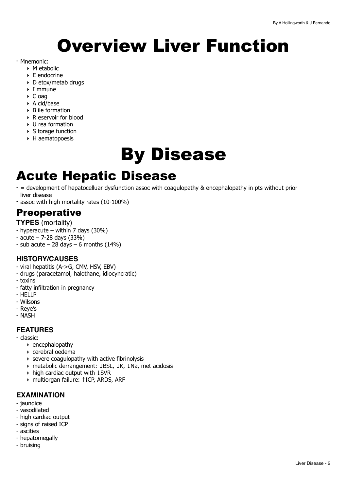# <span id="page-1-0"></span>Overview Liver Function

#### - Mnemonic:

- ‣ M etabolic
- ‣ E endocrine
- ‣ D etox/metab drugs
- ‣ I mmune
- ‣ C oag
- ‣ A cid/base
- $\triangleright$  B ile formation
- ‣ R eservoir for blood
- ‣ U rea formation
- ▶ S torage function
- $\triangleright$  H aematopoesis

# <span id="page-1-1"></span>By Disease

## <span id="page-1-2"></span>Acute Hepatic Disease

- = development of hepatocelluar dysfunction assoc with coagulopathy & encephalopathy in pts without prior liver disease
- assoc with high mortality rates (10-100%)

## **Preoperative**

- **TYPES** (mortality)
- hyperacute within 7 days  $(30\%)$
- $-$  acute  $-$  7-28 days (33%)
- sub acute  $-28$  days  $-6$  months (14%)

### **HISTORY/CAUSES**

- viral hepatitis (A->G, CMV, HSV, EBV)
- drugs (paracetamol, halothane, idiocyncratic)
- toxins
- fatty infiltration in pregnancy
- HELLP
- Wilsons
- Reye's
- NASH

### **FEATURES**

- classic:

- ‣ encephalopathy
- ‣ cerebral oedema
- ‣ severe coagulopathy with active fibrinolysis
- ‣ metabolic derrangement: ↓BSL, ↓K, ↓Na, met acidosis
- ‣ high cardiac output with ↓SVR
- ‣ multiorgan failure: ↑ICP, ARDS, ARF

### **EXAMINATION**

- jaundice
- vasodilated
- high cardiac output
- signs of raised ICP
- ascities
- hepatomegally
- bruising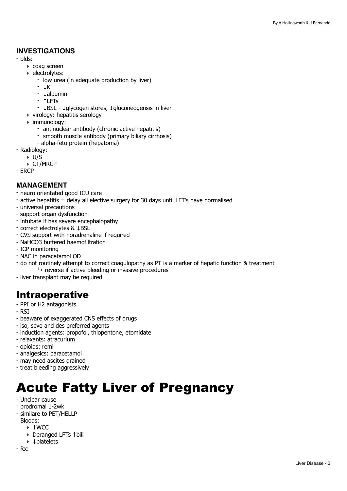### **INVESTIGATIONS**

- blds:
	- ‣ coag screen
	- ‣ electrolytes:
		- low urea (in adequate production by liver)
		- ↓K
		- ↓albumin
		- ↑LFTs
		- ↓BSL ↓glycogen stores, ↓gluconeogensis in liver
	- ‣ virology: hepatitis serology
	- ‣ immunology:
		- antinuclear antibody (chronic active hepatitis)
		- smooth muscle antibody (primary biliary cirrhosis)
		- alpha-feto protein (hepatoma)
- Radiology:
	- ‣ U/S
	- ‣ CT/MRCP

- ERCP

#### **MANAGEMENT**

- neuro orientated good ICU care
- active hepatitis = delay all elective surgery for 30 days until LFT's have normalised
- universal precautions
- support organ dysfunction
- intubate if has severe encephalopathy
- correct electrolytes & ↓BSL
- CVS support with noradrenaline if required
- NaHCO3 buffered haemofiltration
- ICP monitoring
- NAC in paracetamol OD
- do not routinely attempt to correct coagulopathy as PT is a marker of hepatic function & treatment  $\mapsto$  reverse if active bleeding or invasive procedures
- liver transplant may be required

## Intraoperative

- PPI or H2 antagonists
- RSI
- beaware of exaggerated CNS effects of drugs
- iso, sevo and des preferred agents
- induction agents: propofol, thiopentone, etomidate
- relaxants: atracurium
- opioids: remi
- analgesics: paracetamol
- may need ascites drained
- treat bleeding aggressively

## <span id="page-2-0"></span>Acute Fatty Liver of Pregnancy

- Unclear cause
- prodromal 1-2wk
- similare to PET/HELLP
- Bloods:
	- ‣ ↑WCC
		- ‣ Deranged LFTs ↑bili
		- ‣ ↓platelets
- Rx: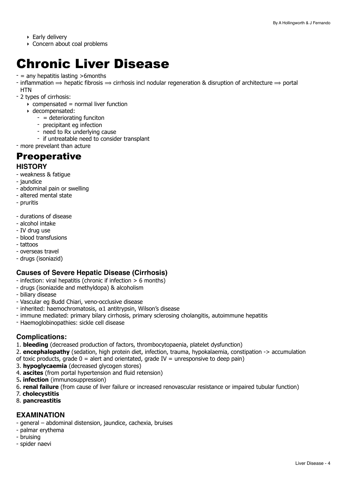- ‣ Early delivery
- ‣ Concern about coal problems

## <span id="page-3-0"></span>Chronic Liver Disease

- $-$  = any hepatitis lasting  $>$ 6months
- inflammation  $\Rightarrow$  hepatic fibrosis  $\Rightarrow$  cirrhosis incl nodular regeneration & disruption of architecture  $\Rightarrow$  portal **HTN**
- 2 types of cirrhosis:
	- $\rightarrow$  compensated = normal liver function
	- ‣ decompensated:
		- = deteriorating funciton
		- precipitant eg infection
		- need to Rx underlying cause
		- if untreatable need to consider transplant

- more prevelant than acture

## **Preoperative**

### **HISTORY**

- weakness & fatigue
- jaundice
- abdominal pain or swelling
- altered mental state
- pruritis
- durations of disease
- alcohol intake
- IV drug use
- blood transfusions
- tattoos
- overseas travel
- drugs (isoniazid)

### **Causes of Severe Hepatic Disease (Cirrhosis)**

- infection: viral hepatitis (chronic if infection > 6 months)
- drugs (isoniazide and methyldopa) & alcoholism
- biliary disease
- Vascular eg Budd Chiari, veno-occlusive disease
- inherited: haemochromatosis, α1 antitrypsin, Wilson's disease
- immune mediated: primary bilary cirrhosis, primary sclerosing cholangitis, autoimmune hepatitis
- Haemoglobinopathies: sickle cell disease

### **Complications:**

- 1. **bleeding** (decreased production of factors, thrombocytopaenia, platelet dysfunction)
- 2. **encephalopathy** (sedation, high protein diet, infection, trauma, hypokalaemia, constipation -> accumulation
- of toxic products, grade  $0 =$  alert and orientated, grade IV = unresponsive to deep pain)
- 3. **hypoglycaemia** (decreased glycogen stores)
- 4. **ascites** (from portal hypertension and fluid retension)
- 5**. infection** (immunosuppression)
- 6. **renal failure** (from cause of liver failure or increased renovascular resistance or impaired tubular function)
- 7. **cholecystitis**
- 8. **pancreastitis**

#### **EXAMINATION**

- general abdominal distension, jaundice, cachexia, bruises
- palmar erythema
- bruising
- spider naevi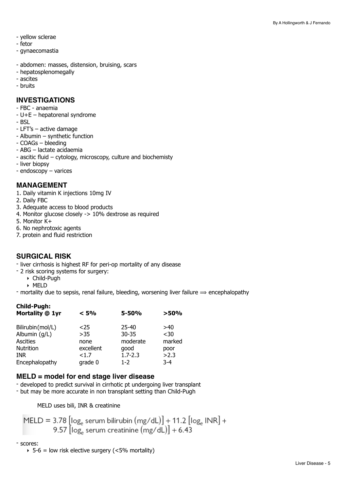- yellow sclerae
- fetor
- gynaecomastia
- abdomen: masses, distension, bruising, scars
- hepatosplenomegally
- ascites
- bruits

### **INVESTIGATIONS**

- FBC anaemia
- U+E hepatorenal syndrome
- BSL
- LFT's active damage
- Albumin synthetic function
- COAGs bleeding
- ABG lactate acidaemia
- ascitic fluid cytology, microscopy, culture and biochemisty
- liver biopsy
- endoscopy varices

#### **MANAGEMENT**

- 1. Daily vitamin K injections 10mg IV
- 2. Daily FBC
- 3. Adequate access to blood products
- 4. Monitor glucose closely -> 10% dextrose as required
- 5. Monitor K+
- 6. No nephrotoxic agents
- 7. protein and fluid restriction

#### **SURGICAL RISK**

- liver cirrhosis is highest RF for peri-op mortality of any disease
- 2 risk scoring systems for surgery:
	- ‣ Child-Pugh
- ‣ MELD
- mortality due to sepsis, renal failure, bleeding, worsening liver failure  $\Rightarrow$  encephalopathy

| <b>5-50%</b> | >50%   |
|--------------|--------|
| $25 - 40$    | >40    |
| $30 - 35$    | $30$   |
| moderate     | marked |
| good         | poor   |
| $1.7 - 2.3$  | >2.3   |
| $1 - 2$      | $3-4$  |
|              |        |

#### **MELD = model for end stage liver disease**

- developed to predict survival in cirrhotic pt undergoing liver transplant
- but may be more accurate in non transplant setting than Child-Pugh

MELD uses bili, INR & creatinine

$$
MELD = 3.78 \left[ \log_e \text{ serum bilirubin} \left( \text{mg/dL} \right) \right] + 11.2 \left[ \log_e \text{INR} \right] + 9.57 \left[ \log_e \text{serum creatinine} \left( \text{mg/dL} \right) \right] + 6.43
$$

#### - scores:

 $\rightarrow$  5-6 = low risk elective surgery (<5% mortality)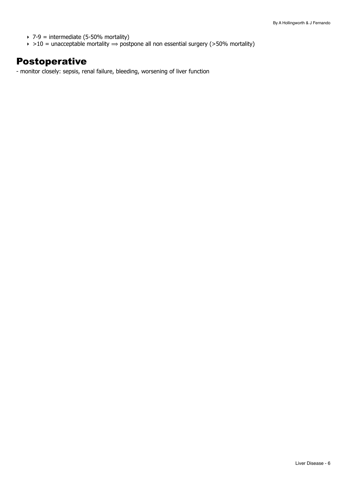- $\rightarrow$  7-9 = intermediate (5-50% mortality)
- $\rightarrow$  >10 = unacceptable mortality  $\Rightarrow$  postpone all non essential surgery (>50% mortality)

## Postoperative

- monitor closely: sepsis, renal failure, bleeding, worsening of liver function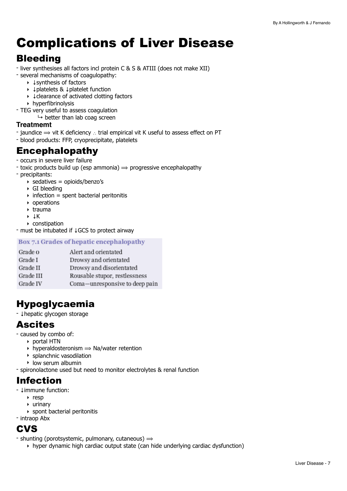## <span id="page-6-0"></span>Complications of Liver Disease

## Bleeding

- liver synthesises all factors incl protein C & S & ATIII (does not make XII)
- several mechanisms of coagulopathy:
	- ‣ ↓synthesis of factors
	- ‣ ↓platelets & ↓platelet function
	- ‣ ↓clearance of activated clotting factors
	- ‣ hyperfibrinolysis
- TEG very useful to assess coagulation
	- $\mapsto$  better than lab coag screen

### **Treatmemt**

- jaundice ⟹ vit K deficiency ∴ trial empirical vit K useful to assess effect on PT
- blood products: FFP, cryoprecipitate, platelets

## Encephalopathy

- occurs in severe liver failure
- toxic products build up (esp ammonia)  $\Rightarrow$  progressive encephalopathy
- precipitants:
	- $\rightarrow$  sedatives = opioids/benzo's
	- ‣ GI bleeding
	- $\rightarrow$  infection = spent bacterial peritonitis
	- ‣ operations
	- ‣ trauma
	- ‣ ↓K
	- ‣ constipation

- must be intubated if ↓GCS to protect airway

#### Box 7.1 Grades of hepatic encephalopathy

| Grade o   | Alert and orientated           |
|-----------|--------------------------------|
| Grade I   | Drowsy and orientated          |
| Grade II  | Drowsy and disorientated       |
| Grade III | Rousable stupor, restlessness  |
| Grade IV  | Coma-unresponsive to deep pain |
|           |                                |

## Hypoglycaemia

- ↓hepatic glycogen storage

## Ascites

- caused by combo of:
	- ‣ portal HTN
	- $\rightarrow$  hyperaldosteronism  $\rightarrow$  Na/water retention
	- ‣ splanchnic vasodilation
	- ‣ low serum albumin
- spironolactone used but need to monitor electrolytes & renal function

## Infection

- ↓immune function:
	- ‣ resp
	- ‣ urinary
	- ‣ spont bacterial peritonitis
- intraop Abx

## **CVS**

- shunting (porotsystemic, pulmonary, cutaneous)  $\Rightarrow$ 
	- $\rightarrow$  hyper dynamic high cardiac output state (can hide underlying cardiac dysfunction)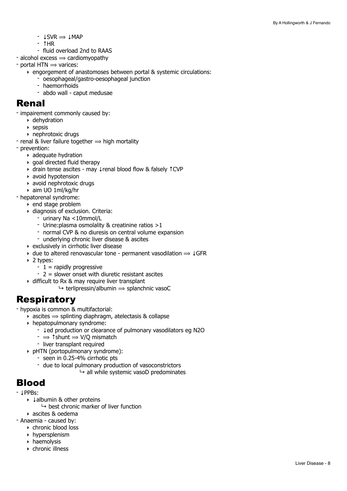- $\text{LSVR} \Rightarrow \text{LMAP}$
- ↑HR
- fluid overload 2nd to RAAS
- alcohol excess  $\Rightarrow$  cardiomyopathy
- $-$  portal HTN  $\Rightarrow$  varices:
	- ‣ engorgement of anastomoses between portal & systemic circulations:
		- oesophageal/gastro-oesophageal junction
		- haemorrhoids
		- abdo wall caput medusae

### Renal

- impairement commonly caused by:
	- ‣ dehydration
	- $\triangleright$  sepsis
	- ‣ nephrotoxic drugs
- renal & liver failure together  $\Rightarrow$  high mortality
- prevention:
	- ‣ adequate hydration
	- $\rightarrow$  goal directed fluid therapy
	- ‣ drain tense ascites may ↓renal blood flow & falsely ↑CVP
	- ‣ avoid hypotension
	- ‣ avoid nephrotoxic drugs
	- ‣ aim UO 1ml/kg/hr
- hepatorenal syndrome:
	- ‣ end stage problem
	- ‣ diagnosis of exclusion. Criteria:
		- urinary Na <10mmol/L
		- Urine:plasma osmolality & creatinine ratios >1
		- normal CVP & no diuresis on central volume expansion
		- underlying chronic liver disease & ascites
	- ‣ exclusively in cirrhotic liver disease
	- $\rightarrow$  due to altered renovascular tone permanent vasodilation  $\Rightarrow$   $\downarrow$ GFR
	- ‣ 2 types:
		- $-1$  = rapidly progressive
		- 2 = slower onset with diuretic resistant ascites
	- ‣ difficult to Rx & may require liver transplant
		- $\rightarrow$  terlipressin/albumin  $\rightarrow$  splanchnic vasoC

## Respiratory

- hypoxia is common & multifactorial:

- $\rightarrow$  ascites  $\rightarrow$  splinting diaphragm, atelectasis & collapse
- ‣ hepatopulmonary syndrome:
	- ↓ed production or clearance of pulmonary vasodilators eg N2O
	- $\rightarrow$   $\uparrow$  shunt  $\rightarrow$  V/O mismatch
	- liver transplant required
- ‣ pHTN (portopulmonary syndrome):
	- seen in 0.25-4% cirrhotic pts
	- due to local pulmonary production of vasoconstrictors
		- $\mapsto$  all while systemic vasoD predominates

## Blood

- ↓PPBs:
	- ‣ ↓albumin & other proteins
	- $\rightarrow$  best chronic marker of liver function
	- ‣ ascites & oedema
- Anaemia caused by:
	- ‣ chronic blood loss
	- ‣ hypersplenism
	- ‣ haemolysis
	- ‣ chronic illness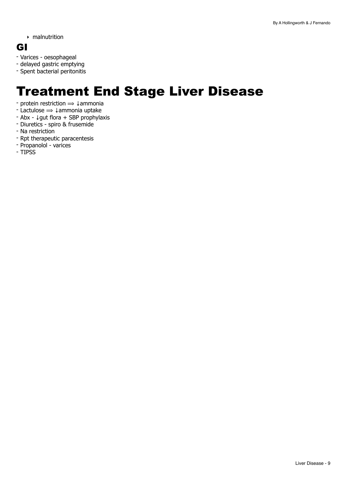‣ malnutrition

### GI

- Varices oesophageal
- delayed gastric emptying
- Spent bacterial peritonitis

## <span id="page-8-0"></span>Treatment End Stage Liver Disease

- protein restriction  $\Rightarrow \downarrow$ ammonia
- Lactulose ⟹ ↓ammonia uptake
- Abx ↓gut flora + SBP prophylaxis
- Diuretics spiro & frusemide
- Na restriction
- Rpt therapeutic paracentesis
- Propanolol varices
- TIPSS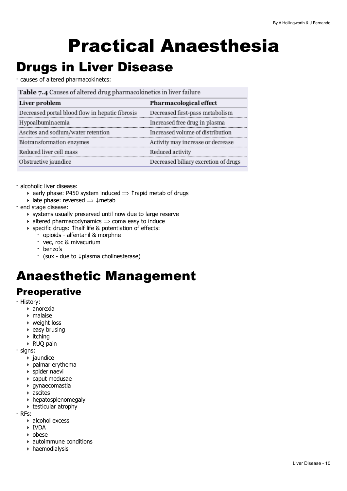# <span id="page-9-0"></span>Practical Anaesthesia

## <span id="page-9-1"></span>Drugs in Liver Disease

- causes of altered pharmacokinetcs:

|  | Table 7.4 Causes of altered drug pharmacokinetics in liver failure |  |  |  |  |  |  |
|--|--------------------------------------------------------------------|--|--|--|--|--|--|
|--|--------------------------------------------------------------------|--|--|--|--|--|--|

| Pharmacological effect               |
|--------------------------------------|
| Decreased first-pass metabolism      |
| Increased free drug in plasma        |
| Increased volume of distribution     |
| Activity may increase or decrease    |
| Reduced activity                     |
| Decreased biliary excretion of drugs |
|                                      |

- alcoholic liver disease:

- $\rightarrow$  early phase: P450 system induced  $\rightarrow$  1 rapid metab of drugs
- $▶$  late phase: reversed  $\Rightarrow$   $\downarrow$  metab
- end stage disease:
	- ‣ systems usually preserved until now due to large reserve
	- $\rightarrow$  altered pharmacodynamics  $\rightarrow$  coma easy to induce
	- ‣ specific drugs: ↑half life & potentiation of effects:
		- opioids alfentanil & morphne
		- vec, roc & mivacurium
		- benzo's
		- (sux due to ↓plasma cholinesterase)

## <span id="page-9-2"></span>Anaesthetic Management

## **Preoperative**

- History:
	- ‣ anorexia
	- ‣ malaise
	- ‣ weight loss
	- $\rightarrow$  easy brusing
	- ‣ itching
	- ‣ RUQ pain
- signs:
	- ‣ jaundice
	- ‣ palmar erythema
	- ‣ spider naevi
	- ‣ caput medusae
	- ‣ gynaecomastia
	- ‣ ascites
	- ‣ hepatosplenomegaly
	- ‣ testicular atrophy

- RFs:

- ‣ alcohol excess
- ‣ IVDA
- ‣ obese
- ‣ autoimmune conditions
- ‣ haemodialysis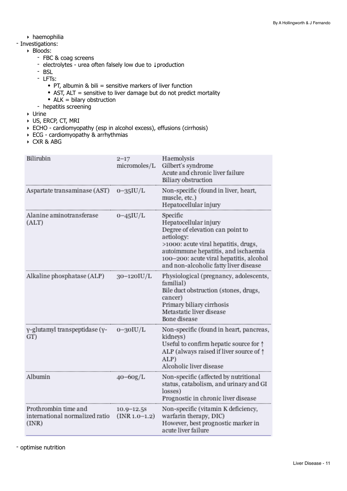‣ haemophilia

#### - Investigations:

- ‣ Bloods:
	- FBC & coag screens
	- electrolytes urea often falsely low due to ↓production
	- BSL
	- LFTs:
		- PT, albumin & bili = sensitive markers of liver function
		- AST, ALT = sensitive to liver damage but do not predict mortality
		- $ALK = bilary obstruction$
	- hepatitis screening
- ‣ Urine
- ‣ US, ERCP, CT, MRI
- ‣ ECHO cardiomyopathy (esp in alcohol excess), effusions (cirrhosis)
- ‣ ECG cardiomyopathy & arrhythmias
- ‣ CXR & ABG

| Bilirubin                                                       | $2 - 17$<br>micromoles/L          | Haemolysis<br>Gilbert's syndrome<br>Acute and chronic liver failure<br>Biliary obstruction                                                                                                                                                             |
|-----------------------------------------------------------------|-----------------------------------|--------------------------------------------------------------------------------------------------------------------------------------------------------------------------------------------------------------------------------------------------------|
| Aspartate transaminase (AST)                                    | $0 - 35$ IU/L                     | Non-specific (found in liver, heart,<br>muscle, etc.)<br>Hepatocellular injury                                                                                                                                                                         |
| Alanine aminotransferase<br>(ALT)                               | $0 - 45$ IU/L                     | Specific<br>Hepatocellular injury<br>Degree of elevation can point to<br>aetiology:<br>>1000: acute viral hepatitis, drugs,<br>autoimmune hepatitis, and ischaemia<br>100-200: acute viral hepatitis, alcohol<br>and non-alcoholic fatty liver disease |
| Alkaline phosphatase (ALP)                                      | 30-120IU/L                        | Physiological (pregnancy, adolescents,<br>familial)<br>Bile duct obstruction (stones, drugs,<br>cancer)<br>Primary biliary cirrhosis<br>Metastatic liver disease<br>Bone disease                                                                       |
| γ-glutamyl transpeptidase (γ-<br>GT)                            | $0 - 30$ IU/L                     | Non-specific (found in heart, pancreas,<br>kidneys)<br>Useful to confirm hepatic source for $\uparrow$<br>ALP (always raised if liver source of $\uparrow$<br>ALP)<br>Alcoholic liver disease                                                          |
| Albumin                                                         | $40 - 60$ g/L                     | Non-specific (affected by nutritional<br>status, catabolism, and urinary and GI<br>losses)<br>Prognostic in chronic liver disease                                                                                                                      |
| Prothrombin time and<br>international normalized ratio<br>(INR) | $10.9 - 12.5s$<br>$(INR 1.0-1.2)$ | Non-specific (vitamin K deficiency,<br>warfarin therapy, DIC)<br>However, best prognostic marker in<br>acute liver failure                                                                                                                             |

- optimise nutrition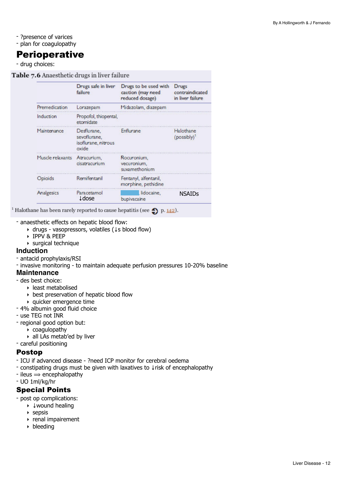- ?presence of varices
- plan for coagulopathy

## **Perioperative**

- drug choices:

Table 7.6 Anaesthetic drugs in liver failure

|                  | Drugs safe in liver<br>failure                              | Drugs to be used with<br>caution (may need<br>reduced dosage) | <b>Drugs</b><br>contraindicated<br>in liver failure |
|------------------|-------------------------------------------------------------|---------------------------------------------------------------|-----------------------------------------------------|
| Premedication    | Lorazepam                                                   | Midazolam, diazepam                                           |                                                     |
| Induction        | Propofol, thiopental,<br>etomidate                          |                                                               |                                                     |
| Maintenance      | Desflurane,<br>sevoflurane.<br>isoflurane, nitrous<br>oxide | Enflurane                                                     | Halothane<br>(possibly)                             |
| Muscle relaxants | Atracurium,<br>cisatracurium                                | Rocuronium,<br>vecuronium.<br>suxamethonium                   |                                                     |
| Opioids          | Remifentanil                                                | Fentanyl, alfentanil,<br>morphine, pethidine                  |                                                     |
| Analgesics       | Paracetamol<br><b>L</b> dose                                | lidocaine.<br>bupivacaine                                     | <b>NSAIDS</b>                                       |

<sup>1</sup> Halothane has been rarely reported to cause hepatitis (see  $\bigcirc$  p. <u>142</u>).

- anaesthetic effects on hepatic blood flow:

- ‣ drugs vasopressors, volatiles (↓s blood flow)
- ‣ IPPV & PEEP
- ‣ surgical technique

#### **Induction**

- antacid prophylaxis/RSI

- invasive monitoring - to maintain adequate perfusion pressures 10-20% baseline

#### **Maintenance**

- des best choice:
	- ‣ least metabolised
	- ‣ best preservation of hepatic blood flow
	- ‣ quicker emergence time
- 4% albumin good fluid choice
- use TEG not INR
- regional good option but:
	- $\rightarrow$  coagulopathy
	- ‣ all LAs metab'ed by liver
- careful positioning

#### Postop

- ICU if advanced disease ?need ICP monitor for cerebral oedema
- constipating drugs must be given with laxatives to ↓risk of encephalopathy
- $-$  ileus  $\Rightarrow$  encephalopathy
- UO 1ml/kg/hr

#### Special Points

- post op complications:

- ‣ ↓wound healing
	- ‣ sepsis
	- ‣ renal impairement
	- $\rightarrow$  bleeding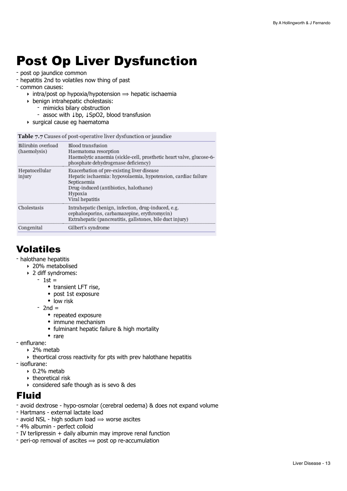## <span id="page-12-0"></span>Post Op Liver Dysfunction

- post op jaundice common
- hepatitis 2nd to volatiles now thing of past
- common causes:
	- $\rightarrow$  intra/post op hypoxia/hypotension  $\Rightarrow$  hepatic ischaemia
	- ‣ benign intrahepatic cholestasis:
		- mimicks bilary obstruction
		- assoc with ↓bp, ↓SpO2, blood transfusion
	- ‣ surgical cause eg haematoma

Table 7.7 Causes of post-operative liver dysfunction or jaundice

| Bilirubin overload<br>(haemolysis) | <b>Blood transfusion</b><br>Haematoma resorption<br>Haemolytic anaemia (sickle-cell, prosthetic heart valve, glucose-6-<br>phosphate dehydrogenase deficiency)                                    |
|------------------------------------|---------------------------------------------------------------------------------------------------------------------------------------------------------------------------------------------------|
| Hepatocellular<br>injury           | Exacerbation of pre-existing liver disease<br>Hepatic ischaemia: hypovolaemia, hypotension, cardiac failure<br>Septicaemia<br>Drug-induced (antibiotics, halothane)<br>Hypoxia<br>Viral hepatitis |
| Cholestasis                        | Intrahepatic (benign, infection, drug-induced, e.g.<br>cephalosporins, carbamazepine, erythromycin)<br>Extrahepatic (pancreatitis, gallstones, bile duct injury)                                  |
| Congenital                         | Gilbert's syndrome                                                                                                                                                                                |

## Volatiles

- halothane hepatitis

- ‣ 20% metabolised
- ‣ 2 diff syndromes:
	- $1$ st =
		- transient LFT rise,
		- post 1st exposure
		- low risk
	- $-$  2nd  $=$ 
		- repeated exposure
		- immune mechanism
		- fulminant hepatic failure & high mortality
	- rare
- enflurane:
	- ‣ 2% metab
	- ‣ theortical cross reactivity for pts with prev halothane hepatitis
- isoflurane:
	- $\cdot$  0.2% metab
	- ‣ theoretical risk
	- ‣ considered safe though as is sevo & des

## Fluid

- avoid dextrose hypo-osmolar (cerebral oedema) & does not expand volume
- Hartmans external lactate load
- avoid NSL high sodium load  $\Rightarrow$  worse ascites
- 4% albumin perfect colloid
- IV terlipressin + daily albumin may improve renal function
- peri-op removal of ascites  $\Rightarrow$  post op re-accumulation